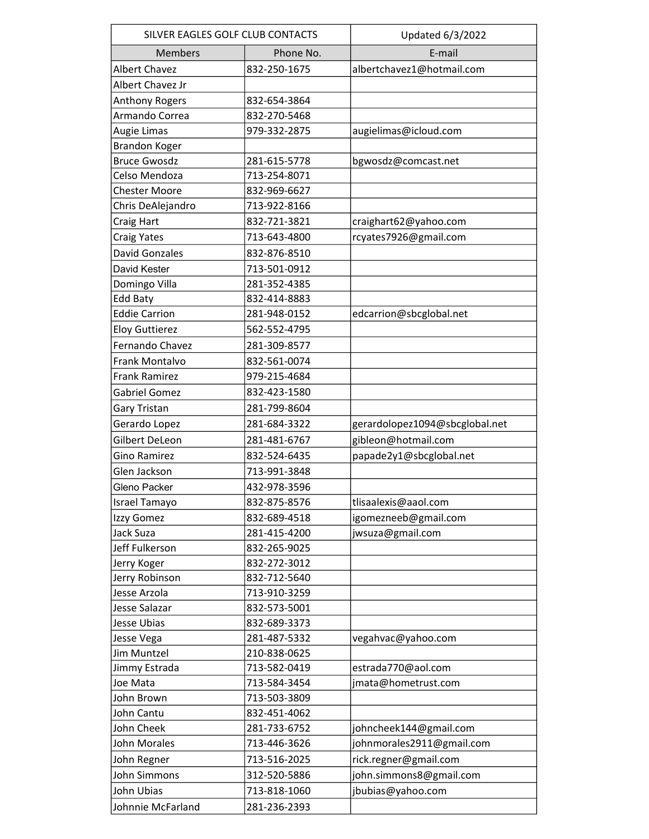| SILVER EAGLES GOLF CLUB CONTACTS |              | Updated 6/3/2022               |
|----------------------------------|--------------|--------------------------------|
| <b>Members</b>                   | Phone No.    | E-mail                         |
| <b>Albert Chavez</b>             | 832-250-1675 | albertchavez1@hotmail.com      |
| Albert Chavez Jr                 |              |                                |
| Anthony Rogers                   | 832-654-3864 |                                |
| Armando Correa                   | 832-270-5468 |                                |
| Augie Limas                      | 979-332-2875 | augielimas@icloud.com          |
| <b>Brandon Koger</b>             |              |                                |
| <b>Bruce Gwosdz</b>              | 281-615-5778 | bgwosdz@comcast.net            |
| Celso Mendoza                    | 713-254-8071 |                                |
| <b>Chester Moore</b>             | 832-969-6627 |                                |
| Chris DeAlejandro                | 713-922-8166 |                                |
| Craig Hart                       | 832-721-3821 | craighart62@yahoo.com          |
| <b>Craig Yates</b>               | 713-643-4800 | rcyates7926@gmail.com          |
| <b>David Gonzales</b>            | 832-876-8510 |                                |
| David Kester                     | 713-501-0912 |                                |
| Domingo Villa                    | 281-352-4385 |                                |
| Edd Baty                         | 832-414-8883 |                                |
| <b>Eddie Carrion</b>             | 281-948-0152 | edcarrion@sbcglobal.net        |
| <b>Eloy Guttierez</b>            | 562-552-4795 |                                |
| Fernando Chavez                  | 281-309-8577 |                                |
| Frank Montalvo                   | 832-561-0074 |                                |
| <b>Frank Ramirez</b>             | 979-215-4684 |                                |
| <b>Gabriel Gomez</b>             | 832-423-1580 |                                |
| Gary Tristan                     | 281-799-8604 |                                |
| Gerardo Lopez                    | 281-684-3322 | gerardolopez1094@sbcglobal.net |
| Gilbert DeLeon                   | 281-481-6767 | gibleon@hotmail.com            |
| <b>Gino Ramirez</b>              | 832-524-6435 | papade2y1@sbcglobal.net        |
| Glen Jackson                     | 713-991-3848 |                                |
| Gleno Packer                     | 432-978-3596 |                                |
| Israel Tamayo                    | 832-875-8576 | tlisaalexis@aaol.com           |
| Izzy Gomez                       | 832-689-4518 | igomezneeb@gmail.com           |
| Jack Suza                        | 281-415-4200 | jwsuza@gmail.com               |
| Jeff Fulkerson                   | 832-265-9025 |                                |
| Jerry Koger                      | 832-272-3012 |                                |
| Jerry Robinson                   | 832-712-5640 |                                |
| Jesse Arzola                     | 713-910-3259 |                                |
| Jesse Salazar                    | 832-573-5001 |                                |
| Jesse Ubias                      | 832-689-3373 |                                |
| Jesse Vega                       | 281-487-5332 | vegahvac@yahoo.com             |
| Jim Muntzel                      | 210-838-0625 |                                |
| Jimmy Estrada                    | 713-582-0419 | estrada770@aol.com             |
| Joe Mata                         | 713-584-3454 | jmata@hometrust.com            |
| John Brown                       | 713-503-3809 |                                |
| John Cantu                       | 832-451-4062 |                                |
| John Cheek                       | 281-733-6752 | johncheek144@gmail.com         |
| John Morales                     | 713-446-3626 | johnmorales2911@gmail.com      |
| John Regner                      | 713-516-2025 | rick.regner@gmail.com          |
| John Simmons                     | 312-520-5886 | john.simmons8@gmail.com        |
| John Ubias                       | 713-818-1060 | jbubias@yahoo.com              |
| Johnnie McFarland                | 281-236-2393 |                                |